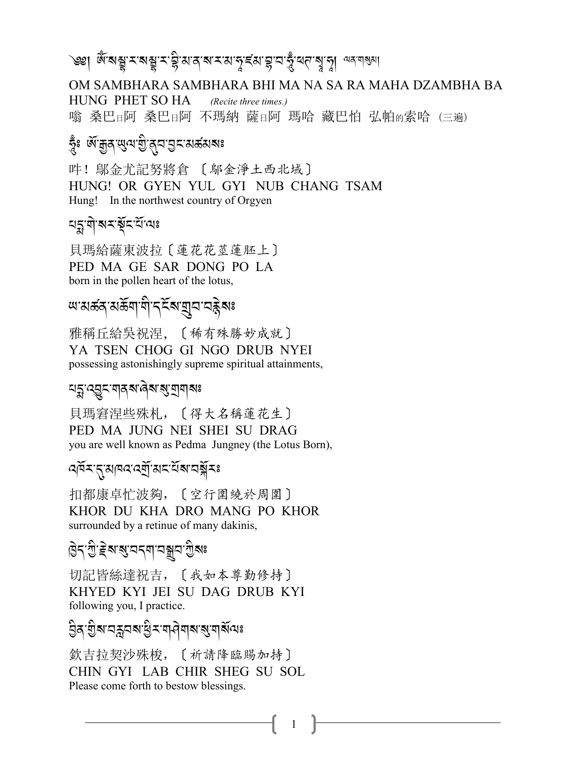৩৩| জ্ঞান সম্ভাৱ মুক্ত আৰু সম্পৰ্ক কৰি বিদ্যালয় কৰিব কৰি

OM SAMBHARA SAMBHARA BHI MA NA SA RA MAHA DZAMBHA BA HUNG PHET SO HA (Recite three times.) 嗡 桑巴日阿 桑巴日阿 不瑪納 薩日阿 瑪哈 藏巴怕 弘帕的索哈 (三遍)

### স্কৃঃ জন্মৰ জন্ম গ্ৰীপ্ৰন প্ৰিম প্ৰয়

吽! 鄔金尤記努將倉 〔 鄔金淨土西北域〕 HUNG! OR GYEN YUL GYI NUB CHANG TSAM Hung! In the northwest country of Orgyen

#### <u>ঘহ্নলীৰে ইন্দ্ৰী</u>লেঃ

貝瑪給薩東波拉〔蓮花花莖蓮胚上〕 PED MA GE SAR DONG PO LA born in the pollen heart of the lotus,

## *আ*মৰ্ক্তন্যৰ্ক্তশাশীদহিৰা যুন নক্ক্ৰীৰঃ

雅稱丘給吳祝涅, 〔稀有殊勝妙成就〕 YA TSEN CHOG GI NGO DRUB NYEI possessing astonishingly supreme spiritual attainments,

#### <u> মহ্ন ব্রূন মা</u>নমান্ত্রমান্ত্র যামানঃ

貝瑪窘涅些殊札, [得大名稱蓮花生] PED MA JUNG NEI SHEI SU DRAG you are well known as Pedma Jungney (the Lotus Born),

#### ৰ্শিমন্মানবৰ্শিমমন্ত্ৰীমঃ

扣都康卓忙波夠, 〔空行圍繞於周圍〕 KHOR DU KHA DRO MANG PO KHOR surrounded by a retinue of many dakinis,

## हिन् गुद्धि इबाबु यन्या यञ्जय गुबाः

切記皆絲達祝吉, 〔我如本尊勤修持〕 KHYED KYI JEI SU DAG DRUB KYI following you, I practice.

### <u> ව</u>ुवाञ्चेबायङ्गयबाड्ये राषानेबाबाबुल्याबॅग्यिः

欽吉拉契沙殊梭, [祈請降臨賜加持] CHIN GYI LAB CHIR SHEG SU SOL Please come forth to bestow blessings.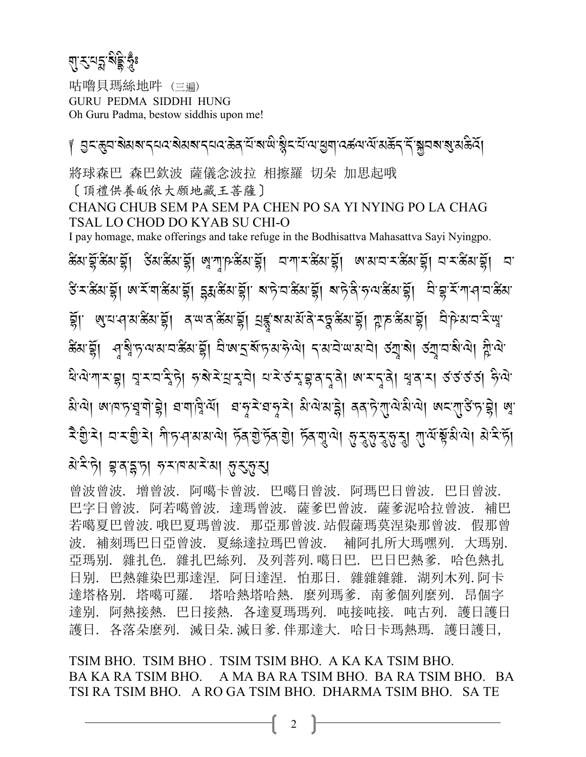ম্ৰ'-মুম্ম <sub>ই</sub>ষ্টু A continued at the continued of the continued of the continued of the continued of the continued of the continued of the continued of the continued of the continued of the continued of the continued of the continued of the A*-*>:

咕嚕貝瑪絲地吽 (三遍) GURU PEDMA SIDDHI HUNG Oh Guru Padma, bestow siddhis upon me!

়। এনস্তুন ৰামৰ ন্যান ৰামৰ ন্যানকৰ মি'ৰাজ্য ষ্ট্ৰন মি'ৰাস্তুশ বৰ্জন মেছন নিম্নী ৰাজ্য প্ৰস্তুত্ত্ব। J 將球森巴 森巴欽波 薩儀念波拉 相擦羅 切朵 加思起哦 〔頂禮供養皈依大願地藏王菩薩〕 CHANG CHUB SEM PA SEM PA CHEN PO SA YI NYING PO LA CHAG TSAL LO CHOD DO KYAB SU CHI-O I pay homage, make offerings and take refuge in the Bodhisattva Mahasattva Sayi Nyingpo. *5*B *3-*SR*-5*B *3-*SR,*4*B*3- 5*B *3-*SR,A*-*!*-F-5*B *3-*SR,*2-! -<-5*B *3-*SR,*A- 3-2-<-5*B *3-*SR,*2-<-5*B *3-*SR,*2-* ङ रुद्धियाङ्ग्। <mark>अ</mark>स्पाङ्ग्याङ्ग्रा इक्षाङ्ग्रा बान्ने वाङ्ग्याङ्ग्या बान्ने अलाङ्ग्याङ्ग्या विञ्चास्यानावाङ्ग्य ই।. *রি.* রাজ্ঞ, ইন্ট প্রার্থ, প্রার্থ, ইন্ট্রার্থ, প্রার্থ, ইন্ট্র্স, ইন্ট্র্স, ইন্ট্র্স, ব্রাট্র্স, ব্রাই, রা *5*B *3-*SR,>*-*? A*-+-=-3-2- 5*B *3-*SR,*2* A*- A-S-?*R*-+-3-@* J*- =*J,*.-3-2* J*-;-3-2*J,*4*N*-?*J,*4*N*-2-?* A*- =*J,e A*-=* J*-*ধর্যাশামন্থা নুমঘন্ট্রটা *দৃষ*ামন্ত্রা ঘামর্স্কুন্তন্ত্রী জামনুষী শ্বন্ধা রূর্ত্তর্থ দ্বী J*-*લુ. <mark>આ જ્ઞાત્રાટે કે હોટા કર્યાણ</mark>ે હતી. કાર્યક્રન્ટા કર્યાત્રાની *પ્રત્યાન*ું કો જ્ઞાત્રાનું જ્રાની જ્ J J *< -I -<*J,*2-<-I -<*J,*!* A*-+- >-3-3-=*J,*+*R*/-I* J*-+*R*/-I*J,*+*R*/-*\$*-=*J,@*-*<*-*@*-*<*-*@*-*<,!*-=*R*-*!R*-3 -=*J,*3 -<* A*-+*R, N A<br>A A<br>A<br>A A J *3* J*-<* A*-+*J,S*-/-*K*-+*,*@-<- # -3-<* J*-3*,@*-*<*-*@*-*<,

曾波曾波. 增曾波. 阿噶卡曾波. 巴噶日曾波. 阿瑪巴日曾波. 巴日曾波. 巴字日曾波. 阿若噶曾波. 達瑪曾波. 薩爹巴曾波. 薩爹泥哈拉曾波. 補巴 若噶夏巴曾波.哦巴夏瑪曾波. 那亞那曾波.站假薩瑪莫涅染那曾波. 假那曾 波. 補刻瑪巴日亞曾波. 夏絲達拉瑪巴曾波. 補阿扎所大瑪嘿列. 大瑪别. 亞瑪别. 雜扎色. 雜扎巴絲列. 及列菩列.噶日巴. 巴日巴熱爹. 哈色熱扎 日别. 巴熱雜染巴那達涅. 阿日達涅. 怕那日. 雜雜雜雜. 湖列木列.阿卡 達塔格别. 塔噶可羅. 塔哈熱塔哈熱. 麼列瑪爹. 南爹個列麼列. 昂個字 達别. 阿熱接熱. 巴日接熱. 各達夏瑪瑪列. 吨接吨接. 吨古列. 護日護日 護日. 各落朵麼列. 滅日朵.滅日爹.伴那達大. 哈日卡瑪熱瑪. 護日護日,

TSIM BHO. TSIM BHO . TSIM TSIM BHO. A KA KA TSIM BHO. BA KA RA TSIM BHO. A MA BA RA TSIM BHO. BA RA TSIM BHO. BA TSI RA TSIM BHO. A RO GA TSIM BHO. DHARMA TSIM BHO. SA TE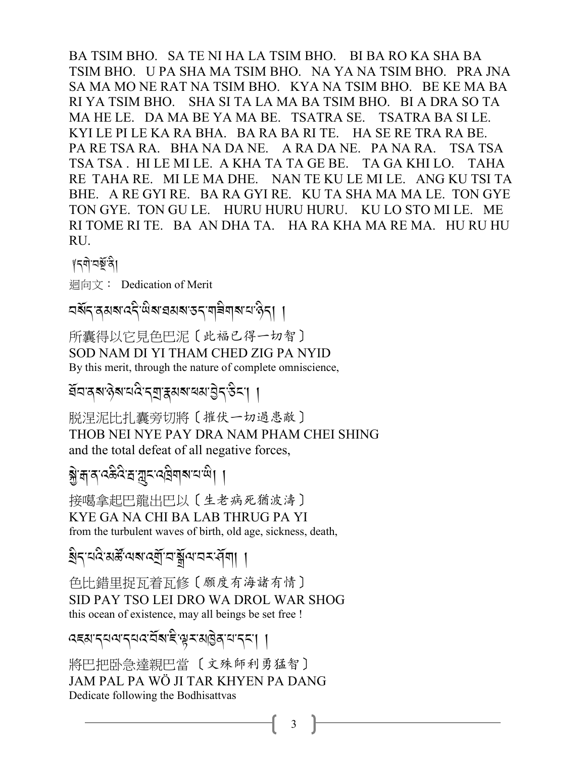BA TSIM BHO. SA TE NI HA LA TSIM BHO. BI BA RO KA SHA BA TSIM BHO. U PA SHA MA TSIM BHO. NA YA NA TSIM BHO. PRA JNA SA MA MO NE RAT NA TSIM BHO. KYA NA TSIM BHO. BE KE MA BA RI YA TSIM BHO. SHA SI TA LA MA BA TSIM BHO. BI A DRA SO TA MA HE LE. DA MA BE YA MA BE. TSATRA SE. TSATRA BA SI LE. KYI LE PI LE KA RA BHA. BA RA BA RI TE. HA SE RE TRA RA BE. PA RE TSA RA. BHA NA DA NE. A RA DA NE. PA NA RA. TSA TSA TSA TSA . HI LE MI LE. A KHA TA TA GE BE. TA GA KHI LO. TAHA RE TAHA RE. MI LE MA DHE. NAN TE KU LE MI LE. ANG KU TSI TA BHE. A RE GYI RE. BA RA GYI RE. KU TA SHA MA MA LE. TON GYE TON GYE. TON GU LE. HURU HURU HURU. KU LO STO MI LE. ME RI TOME RI TE. BA AN DHA TA. HA RA KHA MA RE MA. HU RU HU RU.

?*.\$*J*-2}*R*-/*A,

迴向文:Dedication of Merit

মৰ্মন ৰেমৰা বেনী জ্ঞানৰ স্বৰাস প্ৰান্ন কৰি সম্পৰ্ক স্বৰা বিদ্যালয় কৰি সম্পৰ্ক স্বৰা বিদ্যালয় কৰি সম্পৰ্ক স্ব<br>বিদ্যালয় স্বৰাজ্য স্বৰাজ্য স্বৰাজ্য স্বৰাজ্য স্বৰাজ্য স্বৰাজ্য স্বৰাজ্য স্বৰাজ্য স্বৰাজ্য স্বৰাজ্য স্বৰাজ্য স

所囊得以它見色巴泥〔此褔已得一切智〕 SOD NAM DI YI THAM CHED ZIG PA NYID By this merit, through the nature of complete omniscience,

ৰ্ঘনন্দ্ৰশ্বৰীৰ স্মৰাজ্যৰ বিধিয়া । J A Contractor

脱涅泥比扎囊旁切將〔摧伏一切過患敵〕 THOB NEI NYE PAY DRA NAM PHAM CHEI SHING and the total defeat of all negative forces,

श्चे:ब्रात्र:अर्जुद्धात्र्याली ।<br>अन्य

接噶拿起巴龍出巴以〔生老病死猶波濤〕 KYE GA NA CHI BA LAB THRUG PA YI from the turbulent waves of birth, old age, sickness, death,

ৰ্থিব'ন্দ্ৰস্থপুৰ্য্য প্ৰমাণ পৰি স্থিতি স্থিতি স্থিতি স্থিতি স্থিতি স্থিতি স্থিতি স্থিতি স্থিতি স্থিতি স্থিতি <br>ৰাজ্য স্থিতি স্থিতি স্থিতি স্থিতি স্থিতি স্থিতি স্থিতি স্থিতি স্থিতি স্থিতি স্থিতি স্থিতি স্থিতি স্থিতি স্থিত

色比錯里捉瓦着瓦修〔願度有海諸有情〕 SID PAY TSO LEI DRO WA DROL WAR SHOG this ocean of existence, may all beings be set free !

ক্ৰম'ন্<sup>য্ৰমে</sup>ন্নৰ'ৰ্মৰ'ৰীৰ'ম'ৰ্ম' | .<br>.

將巴把卧急達親巴當 〔文殊師利勇猛智〕 JAM PAL PA WÖ JI TAR KHYEN PA DANG Dedicate following the Bodhisattvas